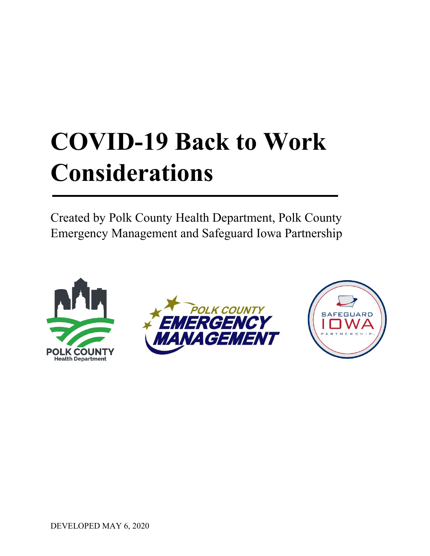# **COVID-19 Back to Work Considerations**

Created by Polk County Health Department, Polk County Emergency Management and Safeguard Iowa Partnership





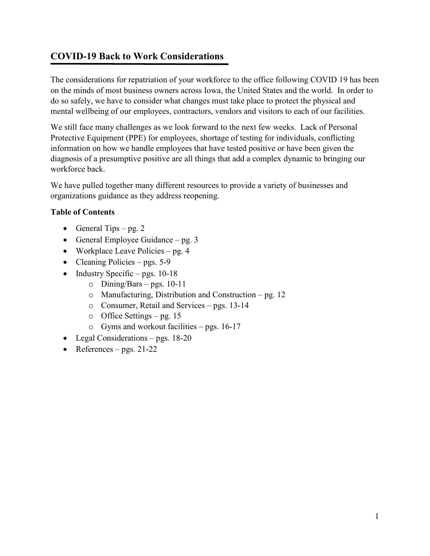# **COVID-19 Back to Work Considerations**

The considerations for repatriation of your workforce to the office following COVID 19 has been on the minds of most business owners across Iowa, the United States and the world. In order to do so safely, we have to consider what changes must take place to protect the physical and mental wellbeing of our employees, contractors, vendors and visitors to each of our facilities.

We still face many challenges as we look forward to the next few weeks. Lack of Personal Protective Equipment (PPE) for employees, shortage of testing for individuals, conflicting information on how we handle employees that have tested positive or have been given the diagnosis of a presumptive positive are all things that add a complex dynamic to bringing our workforce back.

We have pulled together many different resources to provide a variety of businesses and organizations guidance as they address reopening.

## **Table of Contents**

- General Tips pg. 2
- General Employee Guidance pg. 3
- Workplace Leave Policies pg. 4
- Cleaning Policies pgs. 5-9
- Industry Specific pgs. 10-18
	- $\circ$  Dining/Bars pgs. 10-11
	- o Manufacturing, Distribution and Construction pg. 12
	- o Consumer, Retail and Services pgs. 13-14
	- o Office Settings pg. 15
	- o Gyms and workout facilities pgs. 16-17
- Legal Considerations pgs. 18-20
- References pgs. 21-22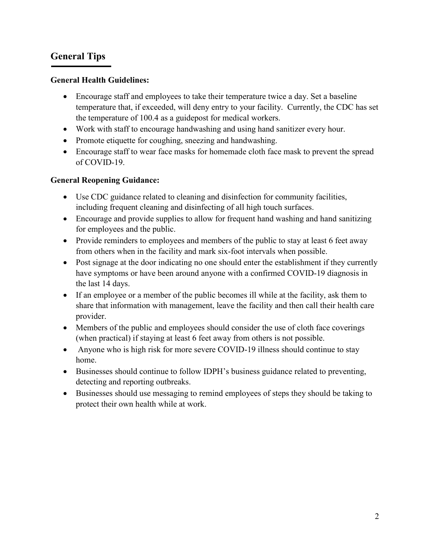# **General Tips**

## **General Health Guidelines:**

- Encourage staff and employees to take their temperature twice a day. Set a baseline temperature that, if exceeded, will deny entry to your facility. Currently, the CDC has set the temperature of 100.4 as a guidepost for medical workers.
- Work with staff to encourage handwashing and using hand sanitizer every hour.
- Promote etiquette for coughing, sneezing and handwashing.
- Encourage staff to wear face masks for homemade cloth face mask to prevent the spread of COVID-19.

## **General Reopening Guidance:**

- Use CDC guidance related to cleaning and disinfection for community facilities, including frequent cleaning and disinfecting of all high touch surfaces.
- Encourage and provide supplies to allow for frequent hand washing and hand sanitizing for employees and the public.
- Provide reminders to employees and members of the public to stay at least 6 feet away from others when in the facility and mark six-foot intervals when possible.
- Post signage at the door indicating no one should enter the establishment if they currently have symptoms or have been around anyone with a confirmed COVID-19 diagnosis in the last 14 days.
- If an employee or a member of the public becomes ill while at the facility, ask them to share that information with management, leave the facility and then call their health care provider.
- Members of the public and employees should consider the use of cloth face coverings (when practical) if staying at least 6 feet away from others is not possible.
- Anyone who is high risk for more severe COVID-19 illness should continue to stay home.
- Businesses should continue to follow IDPH's business guidance related to preventing, detecting and reporting outbreaks.
- Businesses should use messaging to remind employees of steps they should be taking to protect their own health while at work.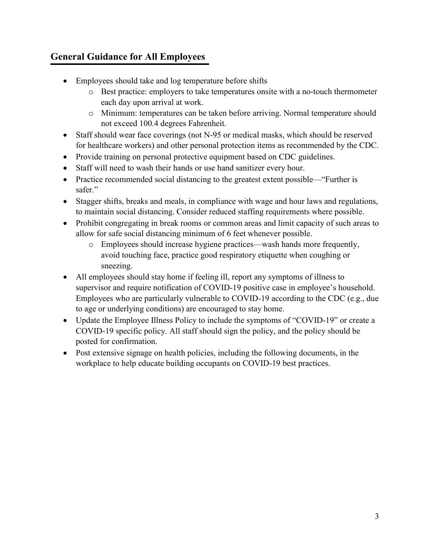# **General Guidance for All Employees**

- Employees should take and log temperature before shifts
	- o Best practice: employers to take temperatures onsite with a no-touch thermometer each day upon arrival at work.
	- o Minimum: temperatures can be taken before arriving. Normal temperature should not exceed 100.4 degrees Fahrenheit.
- Staff should wear face coverings (not N-95 or medical masks, which should be reserved for healthcare workers) and other personal protection items as recommended by the CDC.
- Provide training on personal protective equipment based on CDC guidelines.
- Staff will need to wash their hands or use hand sanitizer every hour.
- Practice recommended social distancing to the greatest extent possible—"Further is safer."
- Stagger shifts, breaks and meals, in compliance with wage and hour laws and regulations, to maintain social distancing. Consider reduced staffing requirements where possible.
- Prohibit congregating in break rooms or common areas and limit capacity of such areas to allow for safe social distancing minimum of 6 feet whenever possible.
	- o Employees should increase hygiene practices—wash hands more frequently, avoid touching face, practice good respiratory etiquette when coughing or sneezing.
- All employees should stay home if feeling ill, report any symptoms of illness to supervisor and require notification of COVID-19 positive case in employee's household. Employees who are particularly vulnerable to COVID-19 according to the CDC (e.g., due to age or underlying conditions) are encouraged to stay home.
- Update the Employee Illness Policy to include the symptoms of "COVID-19" or create a COVID-19 specific policy. All staff should sign the policy, and the policy should be posted for confirmation.
- Post extensive signage on health policies, including the following documents, in the workplace to help educate building occupants on COVID-19 best practices.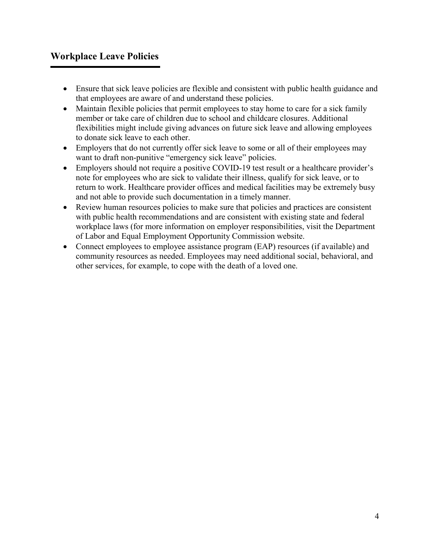# **Workplace Leave Policies**

- Ensure that sick leave policies are flexible and consistent with public health guidance and that employees are aware of and understand these policies.
- Maintain flexible policies that permit employees to stay home to care for a sick family member or take care of children due to school and childcare closures. Additional flexibilities might include giving advances on future sick leave and allowing employees to donate sick leave to each other.
- Employers that do not currently offer sick leave to some or all of their employees may want to draft non-punitive "emergency sick leave" policies.
- Employers should not require a positive COVID-19 test result or a healthcare provider's note for employees who are sick to validate their illness, qualify for sick leave, or to return to work. Healthcare provider offices and medical facilities may be extremely busy and not able to provide such documentation in a timely manner.
- Review human resources policies to make sure that policies and practices are consistent with public health recommendations and are consistent with existing state and federal workplace laws (for more information on employer responsibilities, visit the Department of Labor and Equal Employment Opportunity Commission website.
- Connect employees to employee assistance program (EAP) resources (if available) and community resources as needed. Employees may need additional social, behavioral, and other services, for example, to cope with the death of a loved one.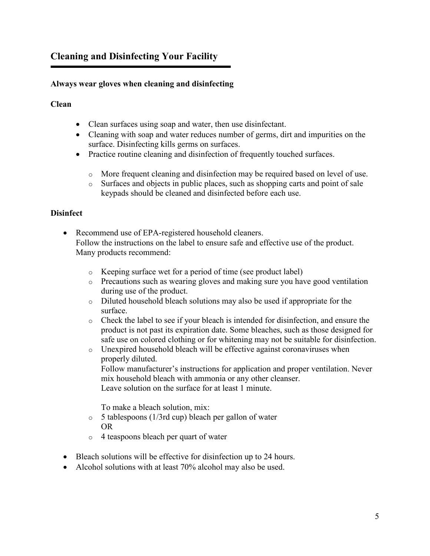# **Cleaning and Disinfecting Your Facility**

## **Always wear gloves when cleaning and disinfecting**

## **Clean**

- Clean surfaces using soap and water, then use disinfectant.
- Cleaning with soap and water reduces number of germs, dirt and impurities on the surface. Disinfecting kills germs on surfaces.
- Practice routine cleaning and disinfection of frequently touched surfaces.
	- o More frequent cleaning and disinfection may be required based on level of use.
	- o Surfaces and objects in public places, such as shopping carts and point of sale keypads should be cleaned and disinfected before each use.

## **Disinfect**

- Recommend use of EPA-registered household cleaners. Follow the instructions on the label to ensure safe and effective use of the product. Many products recommend:
	- o Keeping surface wet for a period of time (see product label)
	- o Precautions such as wearing gloves and making sure you have good ventilation during use of the product.
	- o Diluted household bleach solutions may also be used if appropriate for the surface.
	- o Check the label to see if your bleach is intended for disinfection, and ensure the product is not past its expiration date. Some bleaches, such as those designed for safe use on colored clothing or for whitening may not be suitable for disinfection.
	- o Unexpired household bleach will be effective against coronaviruses when properly diluted.

Follow manufacturer's instructions for application and proper ventilation. Never mix household bleach with ammonia or any other cleanser. Leave solution on the surface for at least 1 minute.

To make a bleach solution, mix:

- $\circ$  5 tablespoons (1/3rd cup) bleach per gallon of water OR
- o 4 teaspoons bleach per quart of water
- Bleach solutions will be effective for disinfection up to 24 hours.
- Alcohol solutions with at least 70% alcohol may also be used.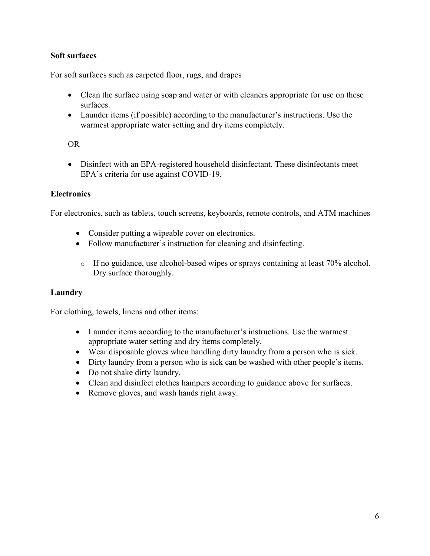## **Soft surfaces**

For soft surfaces such as carpeted floor, rugs, and drapes

- Clean the surface using soap and water or with cleaners appropriate for use on these surfaces.
- Launder items (if possible) according to the manufacturer's instructions. Use the warmest appropriate water setting and dry items completely.

#### OR

• Disinfect with an EPA-registered household disinfectant. These disinfectants meet EPA's criteria for use against COVID-19.

#### **Electronics**

For electronics, such as tablets, touch screens, keyboards, remote controls, and ATM machines

- Consider putting a wipeable cover on electronics.
- Follow manufacturer's instruction for cleaning and disinfecting.
- o If no guidance, use alcohol-based wipes or sprays containing at least 70% alcohol. Dry surface thoroughly.

#### **Laundry**

For clothing, towels, linens and other items:

- Launder items according to the manufacturer's instructions. Use the warmest appropriate water setting and dry items completely.
- Wear disposable gloves when handling dirty laundry from a person who is sick.
- Dirty laundry from a person who is sick can be washed with other people's items.
- Do not shake dirty laundry.
- Clean and disinfect clothes hampers according to guidance above for surfaces.
- Remove gloves, and wash hands right away.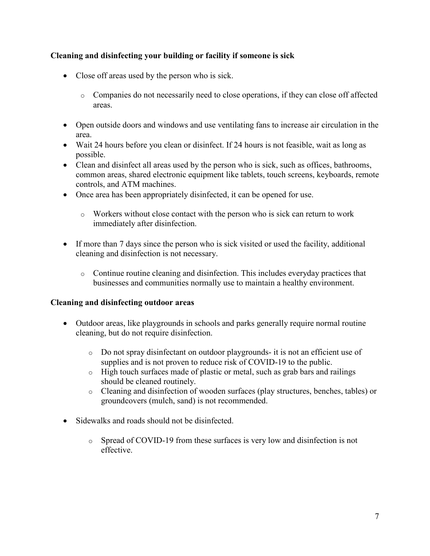## **Cleaning and disinfecting your building or facility if someone is sick**

- Close off areas used by the person who is sick.
	- o Companies do not necessarily need to close operations, if they can close off affected areas.
- Open outside doors and windows and use ventilating fans to increase air circulation in the area.
- Wait 24 hours before you clean or disinfect. If 24 hours is not feasible, wait as long as possible.
- Clean and disinfect all areas used by the person who is sick, such as offices, bathrooms, common areas, shared electronic equipment like tablets, touch screens, keyboards, remote controls, and ATM machines.
- Once area has been appropriately disinfected, it can be opened for use.
	- o Workers without close contact with the person who is sick can return to work immediately after disinfection.
- If more than 7 days since the person who is sick visited or used the facility, additional cleaning and disinfection is not necessary.
	- o Continue routine cleaning and disinfection. This includes everyday practices that businesses and communities normally use to maintain a healthy environment.

#### **Cleaning and disinfecting outdoor areas**

- Outdoor areas, like playgrounds in schools and parks generally require normal routine cleaning, but do not require disinfection.
	- $\circ$  Do not spray disinfectant on outdoor playgrounds- it is not an efficient use of supplies and is not proven to reduce risk of COVID-19 to the public.
	- o High touch surfaces made of plastic or metal, such as grab bars and railings should be cleaned routinely.
	- o Cleaning and disinfection of wooden surfaces (play structures, benches, tables) or groundcovers (mulch, sand) is not recommended.
- Sidewalks and roads should not be disinfected.
	- o Spread of COVID-19 from these surfaces is very low and disinfection is not effective.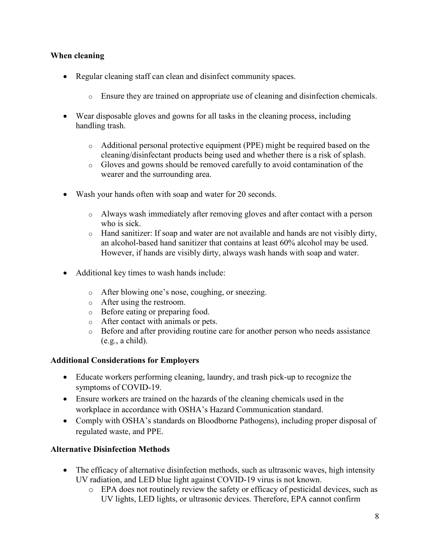#### **When cleaning**

- Regular cleaning staff can clean and disinfect community spaces.
	- o Ensure they are trained on appropriate use of cleaning and disinfection chemicals.
- Wear disposable gloves and gowns for all tasks in the cleaning process, including handling trash.
	- o Additional personal protective equipment (PPE) might be required based on the cleaning/disinfectant products being used and whether there is a risk of splash.
	- o Gloves and gowns should be removed carefully to avoid contamination of the wearer and the surrounding area.
- Wash your hands often with soap and water for 20 seconds.
	- o Always wash immediately after removing gloves and after contact with a person who is sick.
	- o Hand sanitizer: If soap and water are not available and hands are not visibly dirty, an alcohol-based hand sanitizer that contains at least 60% alcohol may be used. However, if hands are visibly dirty, always wash hands with soap and water.
- Additional key times to wash hands include:
	- o After blowing one's nose, coughing, or sneezing.
	- o After using the restroom.
	- o Before eating or preparing food.
	- o After contact with animals or pets.
	- o Before and after providing routine care for another person who needs assistance (e.g., a child).

#### **Additional Considerations for Employers**

- Educate workers performing cleaning, laundry, and trash pick-up to recognize the symptoms of COVID-19.
- Ensure workers are trained on the hazards of the cleaning chemicals used in the workplace in accordance with OSHA's Hazard Communication standard.
- Comply with OSHA's standards on Bloodborne Pathogens), including proper disposal of regulated waste, and PPE.

#### **Alternative Disinfection Methods**

- The efficacy of alternative disinfection methods, such as ultrasonic waves, high intensity UV radiation, and LED blue light against COVID-19 virus is not known.
	- o EPA does not routinely review the safety or efficacy of pesticidal devices, such as UV lights, LED lights, or ultrasonic devices. Therefore, EPA cannot confirm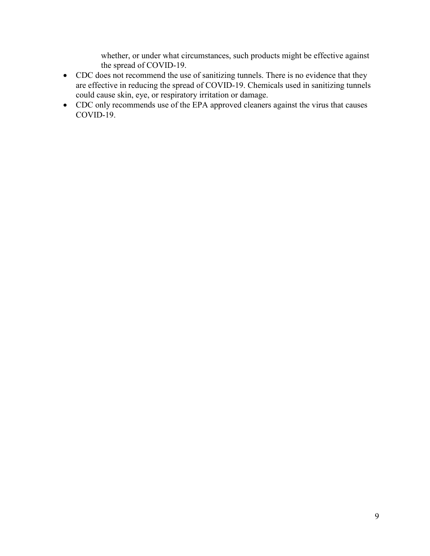whether, or under what circumstances, such products might be effective against the spread of COVID-19.

- CDC does not recommend the use of sanitizing tunnels. There is no evidence that they are effective in reducing the spread of COVID-19. Chemicals used in sanitizing tunnels could cause skin, eye, or respiratory irritation or damage.
- CDC only recommends use of the EPA approved cleaners against the virus that causes COVID-19.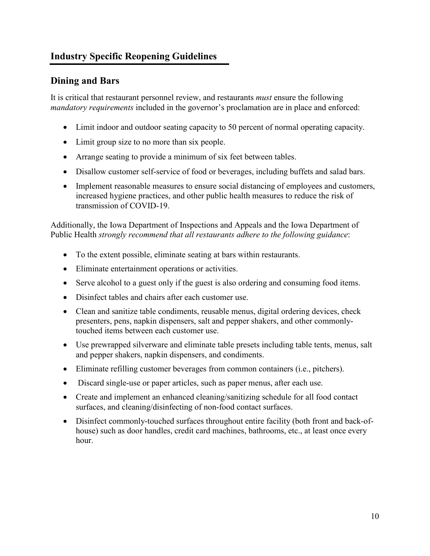# **Industry Specific Reopening Guidelines**

# **Dining and Bars**

It is critical that restaurant personnel review, and restaurants *must* ensure the following *mandatory requirements* included in the governor's proclamation are in place and enforced:

- Limit indoor and outdoor seating capacity to 50 percent of normal operating capacity.
- Limit group size to no more than six people.
- Arrange seating to provide a minimum of six feet between tables.
- Disallow customer self-service of food or beverages, including buffets and salad bars.
- Implement reasonable measures to ensure social distancing of employees and customers, increased hygiene practices, and other public health measures to reduce the risk of transmission of COVID-19.

Additionally, the Iowa Department of Inspections and Appeals and the Iowa Department of Public Health *strongly recommend that all restaurants adhere to the following guidance*:

- To the extent possible, eliminate seating at bars within restaurants.
- Eliminate entertainment operations or activities.
- Serve alcohol to a guest only if the guest is also ordering and consuming food items.
- Disinfect tables and chairs after each customer use.
- Clean and sanitize table condiments, reusable menus, digital ordering devices, check presenters, pens, napkin dispensers, salt and pepper shakers, and other commonlytouched items between each customer use.
- Use prewrapped silverware and eliminate table presets including table tents, menus, salt and pepper shakers, napkin dispensers, and condiments.
- Eliminate refilling customer beverages from common containers (i.e., pitchers).
- Discard single-use or paper articles, such as paper menus, after each use.
- Create and implement an enhanced cleaning/sanitizing schedule for all food contact surfaces, and cleaning/disinfecting of non-food contact surfaces.
- Disinfect commonly-touched surfaces throughout entire facility (both front and back-ofhouse) such as door handles, credit card machines, bathrooms, etc., at least once every hour.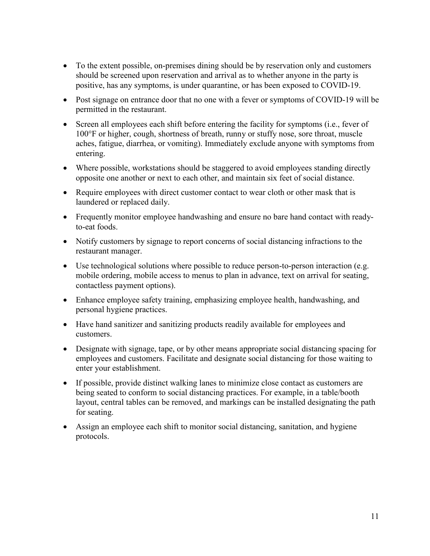- To the extent possible, on-premises dining should be by reservation only and customers should be screened upon reservation and arrival as to whether anyone in the party is positive, has any symptoms, is under quarantine, or has been exposed to COVID-19.
- Post signage on entrance door that no one with a fever or symptoms of COVID-19 will be permitted in the restaurant.
- Screen all employees each shift before entering the facility for symptoms (i.e., fever of 100°F or higher, cough, shortness of breath, runny or stuffy nose, sore throat, muscle aches, fatigue, diarrhea, or vomiting). Immediately exclude anyone with symptoms from entering.
- Where possible, workstations should be staggered to avoid employees standing directly opposite one another or next to each other, and maintain six feet of social distance.
- Require employees with direct customer contact to wear cloth or other mask that is laundered or replaced daily.
- Frequently monitor employee handwashing and ensure no bare hand contact with readyto-eat foods.
- Notify customers by signage to report concerns of social distancing infractions to the restaurant manager.
- Use technological solutions where possible to reduce person-to-person interaction (e.g. mobile ordering, mobile access to menus to plan in advance, text on arrival for seating, contactless payment options).
- Enhance employee safety training, emphasizing employee health, handwashing, and personal hygiene practices.
- Have hand sanitizer and sanitizing products readily available for employees and customers.
- Designate with signage, tape, or by other means appropriate social distancing spacing for employees and customers. Facilitate and designate social distancing for those waiting to enter your establishment.
- If possible, provide distinct walking lanes to minimize close contact as customers are being seated to conform to social distancing practices. For example, in a table/booth layout, central tables can be removed, and markings can be installed designating the path for seating.
- Assign an employee each shift to monitor social distancing, sanitation, and hygiene protocols.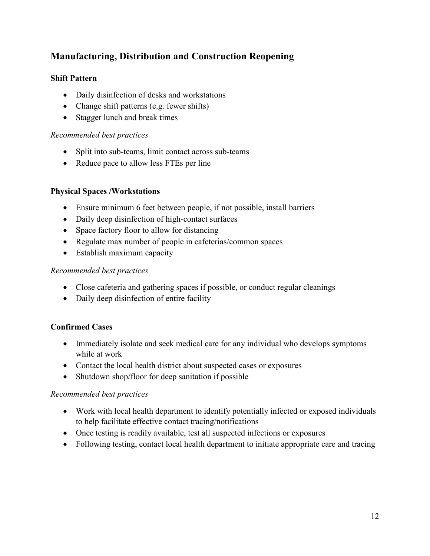# **Manufacturing, Distribution and Construction Reopening**

## **Shift Pattern**

- Daily disinfection of desks and workstations
- Change shift patterns (e.g. fewer shifts)
- Stagger lunch and break times

#### *Recommended best practices*

- Split into sub-teams, limit contact across sub-teams
- Reduce pace to allow less FTEs per line

## **Physical Spaces /Workstations**

- Ensure minimum 6 feet between people, if not possible, install barriers
- Daily deep disinfection of high-contact surfaces
- Space factory floor to allow for distancing
- Regulate max number of people in cafeterias/common spaces
- Establish maximum capacity

#### *Recommended best practices*

- Close cafeteria and gathering spaces if possible, or conduct regular cleanings
- Daily deep disinfection of entire facility

#### **Confirmed Cases**

- Immediately isolate and seek medical care for any individual who develops symptoms while at work
- Contact the local health district about suspected cases or exposures
- Shutdown shop/floor for deep sanitation if possible

#### *Recommended best practices*

- Work with local health department to identify potentially infected or exposed individuals to help facilitate effective contact tracing/notifications
- Once testing is readily available, test all suspected infections or exposures
- Following testing, contact local health department to initiate appropriate care and tracing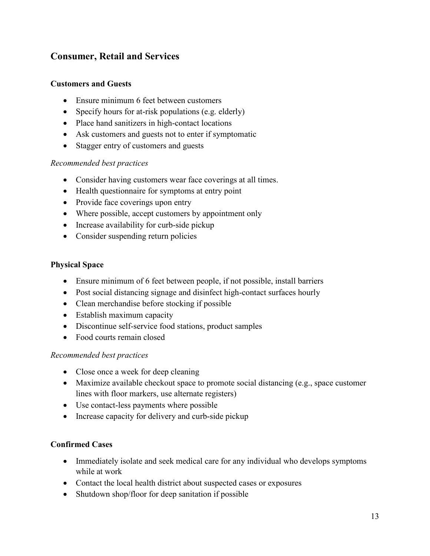# **Consumer, Retail and Services**

#### **Customers and Guests**

- Ensure minimum 6 feet between customers
- Specify hours for at-risk populations (e.g. elderly)
- Place hand sanitizers in high-contact locations
- Ask customers and guests not to enter if symptomatic
- Stagger entry of customers and guests

#### *Recommended best practices*

- Consider having customers wear face coverings at all times.
- Health questionnaire for symptoms at entry point
- Provide face coverings upon entry
- Where possible, accept customers by appointment only
- Increase availability for curb-side pickup
- Consider suspending return policies

#### **Physical Space**

- Ensure minimum of 6 feet between people, if not possible, install barriers
- Post social distancing signage and disinfect high-contact surfaces hourly
- Clean merchandise before stocking if possible
- Establish maximum capacity
- Discontinue self-service food stations, product samples
- Food courts remain closed

#### *Recommended best practices*

- Close once a week for deep cleaning
- Maximize available checkout space to promote social distancing (e.g., space customer lines with floor markers, use alternate registers)
- Use contact-less payments where possible
- Increase capacity for delivery and curb-side pickup

## **Confirmed Cases**

- Immediately isolate and seek medical care for any individual who develops symptoms while at work
- Contact the local health district about suspected cases or exposures
- Shutdown shop/floor for deep sanitation if possible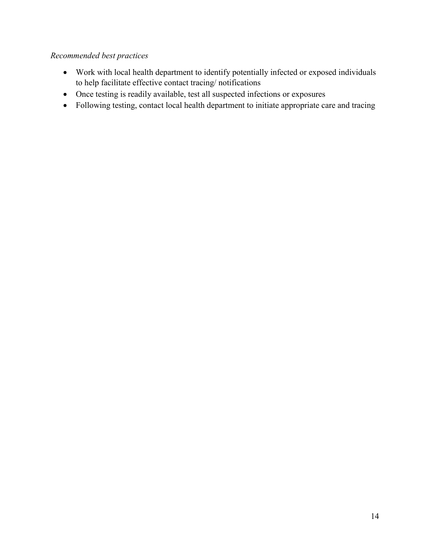# *Recommended best practices*

- Work with local health department to identify potentially infected or exposed individuals to help facilitate effective contact tracing/ notifications
- Once testing is readily available, test all suspected infections or exposures
- Following testing, contact local health department to initiate appropriate care and tracing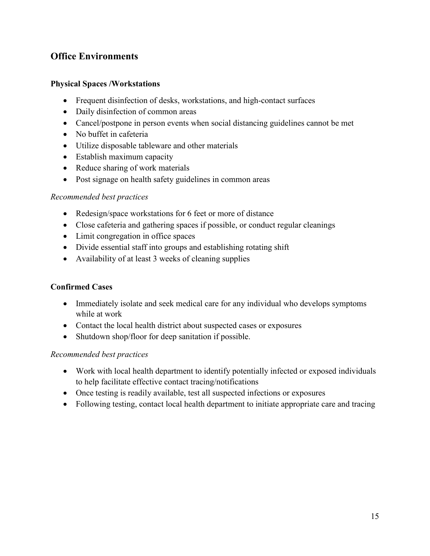# **Office Environments**

#### **Physical Spaces /Workstations**

- Frequent disinfection of desks, workstations, and high-contact surfaces
- Daily disinfection of common areas
- Cancel/postpone in person events when social distancing guidelines cannot be met
- No buffet in cafeteria
- Utilize disposable tableware and other materials
- Establish maximum capacity
- Reduce sharing of work materials
- Post signage on health safety guidelines in common areas

#### *Recommended best practices*

- Redesign/space workstations for 6 feet or more of distance
- Close cafeteria and gathering spaces if possible, or conduct regular cleanings
- Limit congregation in office spaces
- Divide essential staff into groups and establishing rotating shift
- Availability of at least 3 weeks of cleaning supplies

#### **Confirmed Cases**

- Immediately isolate and seek medical care for any individual who develops symptoms while at work
- Contact the local health district about suspected cases or exposures
- Shutdown shop/floor for deep sanitation if possible.

#### *Recommended best practices*

- Work with local health department to identify potentially infected or exposed individuals to help facilitate effective contact tracing/notifications
- Once testing is readily available, test all suspected infections or exposures
- Following testing, contact local health department to initiate appropriate care and tracing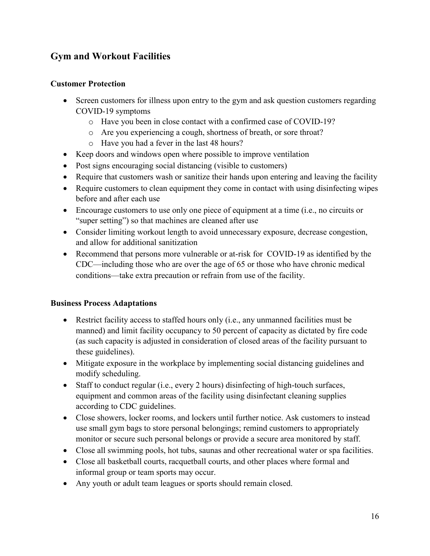# **Gym and Workout Facilities**

#### **Customer Protection**

- Screen customers for illness upon entry to the gym and ask question customers regarding COVID-19 symptoms
	- o Have you been in close contact with a confirmed case of COVID-19?
	- o Are you experiencing a cough, shortness of breath, or sore throat?
	- o Have you had a fever in the last 48 hours?
- Keep doors and windows open where possible to improve ventilation
- Post signs encouraging social distancing (visible to customers)
- Require that customers wash or sanitize their hands upon entering and leaving the facility
- Require customers to clean equipment they come in contact with using disinfecting wipes before and after each use
- Encourage customers to use only one piece of equipment at a time (i.e., no circuits or "super setting") so that machines are cleaned after use
- Consider limiting workout length to avoid unnecessary exposure, decrease congestion, and allow for additional sanitization
- Recommend that persons more vulnerable or at-risk for COVID-19 as identified by the CDC—including those who are over the age of 65 or those who have chronic medical conditions—take extra precaution or refrain from use of the facility.

## **Business Process Adaptations**

- Restrict facility access to staffed hours only (i.e., any unmanned facilities must be manned) and limit facility occupancy to 50 percent of capacity as dictated by fire code (as such capacity is adjusted in consideration of closed areas of the facility pursuant to these guidelines).
- Mitigate exposure in the workplace by implementing social distancing guidelines and modify scheduling.
- Staff to conduct regular (i.e., every 2 hours) disinfecting of high-touch surfaces, equipment and common areas of the facility using disinfectant cleaning supplies according to CDC guidelines.
- Close showers, locker rooms, and lockers until further notice. Ask customers to instead use small gym bags to store personal belongings; remind customers to appropriately monitor or secure such personal belongs or provide a secure area monitored by staff.
- Close all swimming pools, hot tubs, saunas and other recreational water or spa facilities.
- Close all basketball courts, racquetball courts, and other places where formal and informal group or team sports may occur.
- Any youth or adult team leagues or sports should remain closed.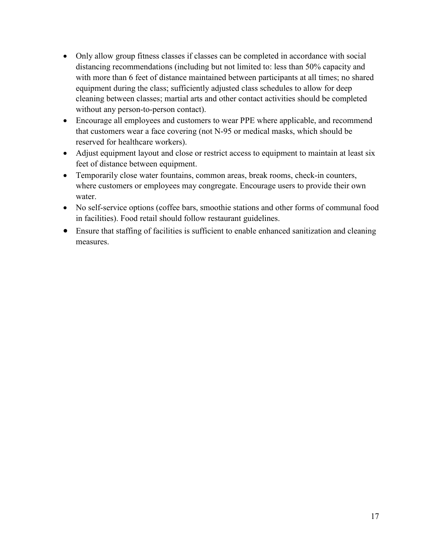- Only allow group fitness classes if classes can be completed in accordance with social distancing recommendations (including but not limited to: less than 50% capacity and with more than 6 feet of distance maintained between participants at all times; no shared equipment during the class; sufficiently adjusted class schedules to allow for deep cleaning between classes; martial arts and other contact activities should be completed without any person-to-person contact).
- Encourage all employees and customers to wear PPE where applicable, and recommend that customers wear a face covering (not N-95 or medical masks, which should be reserved for healthcare workers).
- Adjust equipment layout and close or restrict access to equipment to maintain at least six feet of distance between equipment.
- Temporarily close water fountains, common areas, break rooms, check-in counters, where customers or employees may congregate. Encourage users to provide their own water.
- No self-service options (coffee bars, smoothie stations and other forms of communal food in facilities). Food retail should follow restaurant guidelines.
- Ensure that staffing of facilities is sufficient to enable enhanced sanitization and cleaning measures.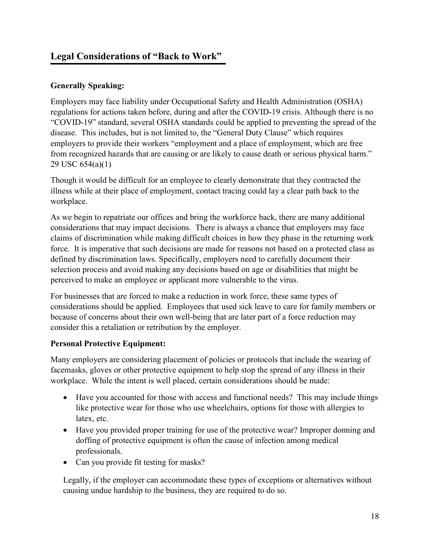# **Legal Considerations of "Back to Work"**

## **Generally Speaking:**

Employers may face liability under Occupational Safety and Health Administration (OSHA) regulations for actions taken before, during and after the COVID-19 crisis. Although there is no "COVID-19" standard, several OSHA standards could be applied to preventing the spread of the disease. This includes, but is not limited to, the "General Duty Clause" which requires employers to provide their workers "employment and a place of employment, which are free from recognized hazards that are causing or are likely to cause death or serious physical harm." 29 USC 654(a)(1)

Though it would be difficult for an employee to clearly demonstrate that they contracted the illness while at their place of employment, contact tracing could lay a clear path back to the workplace.

As we begin to repatriate our offices and bring the workforce back, there are many additional considerations that may impact decisions. There is always a chance that employers may face claims of discrimination while making difficult choices in how they phase in the returning work force. It is imperative that such decisions are made for reasons not based on a protected class as defined by discrimination laws. Specifically, employers need to carefully document their selection process and avoid making any decisions based on age or disabilities that might be perceived to make an employee or applicant more vulnerable to the virus.

For businesses that are forced to make a reduction in work force, these same types of considerations should be applied. Employees that used sick leave to care for family members or because of concerns about their own well-being that are later part of a force reduction may consider this a retaliation or retribution by the employer.

## **Personal Protective Equipment:**

Many employers are considering placement of policies or protocols that include the wearing of facemasks, gloves or other protective equipment to help stop the spread of any illness in their workplace. While the intent is well placed, certain considerations should be made:

- Have you accounted for those with access and functional needs? This may include things like protective wear for those who use wheelchairs, options for those with allergies to latex, etc.
- Have you provided proper training for use of the protective wear? Improper donning and doffing of protective equipment is often the cause of infection among medical professionals.
- Can you provide fit testing for masks?

Legally, if the employer can accommodate these types of exceptions or alternatives without causing undue hardship to the business, they are required to do so.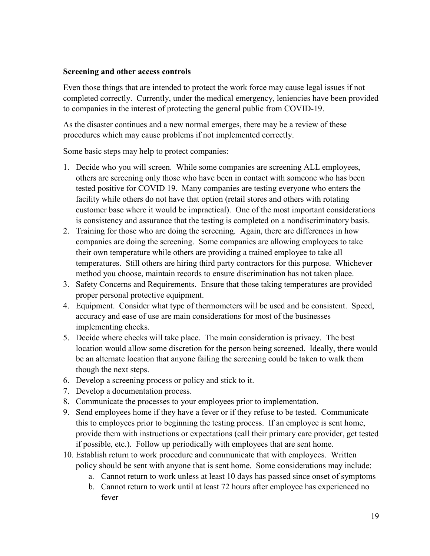#### **Screening and other access controls**

Even those things that are intended to protect the work force may cause legal issues if not completed correctly. Currently, under the medical emergency, leniencies have been provided to companies in the interest of protecting the general public from COVID-19.

As the disaster continues and a new normal emerges, there may be a review of these procedures which may cause problems if not implemented correctly.

Some basic steps may help to protect companies:

- 1. Decide who you will screen. While some companies are screening ALL employees, others are screening only those who have been in contact with someone who has been tested positive for COVID 19. Many companies are testing everyone who enters the facility while others do not have that option (retail stores and others with rotating customer base where it would be impractical). One of the most important considerations is consistency and assurance that the testing is completed on a nondiscriminatory basis.
- 2. Training for those who are doing the screening. Again, there are differences in how companies are doing the screening. Some companies are allowing employees to take their own temperature while others are providing a trained employee to take all temperatures. Still others are hiring third party contractors for this purpose. Whichever method you choose, maintain records to ensure discrimination has not taken place.
- 3. Safety Concerns and Requirements. Ensure that those taking temperatures are provided proper personal protective equipment.
- 4. Equipment. Consider what type of thermometers will be used and be consistent. Speed, accuracy and ease of use are main considerations for most of the businesses implementing checks.
- 5. Decide where checks will take place. The main consideration is privacy. The best location would allow some discretion for the person being screened. Ideally, there would be an alternate location that anyone failing the screening could be taken to walk them though the next steps.
- 6. Develop a screening process or policy and stick to it.
- 7. Develop a documentation process.
- 8. Communicate the processes to your employees prior to implementation.
- 9. Send employees home if they have a fever or if they refuse to be tested. Communicate this to employees prior to beginning the testing process. If an employee is sent home, provide them with instructions or expectations (call their primary care provider, get tested if possible, etc.). Follow up periodically with employees that are sent home.
- 10. Establish return to work procedure and communicate that with employees. Written policy should be sent with anyone that is sent home. Some considerations may include:
	- a. Cannot return to work unless at least 10 days has passed since onset of symptoms
	- b. Cannot return to work until at least 72 hours after employee has experienced no fever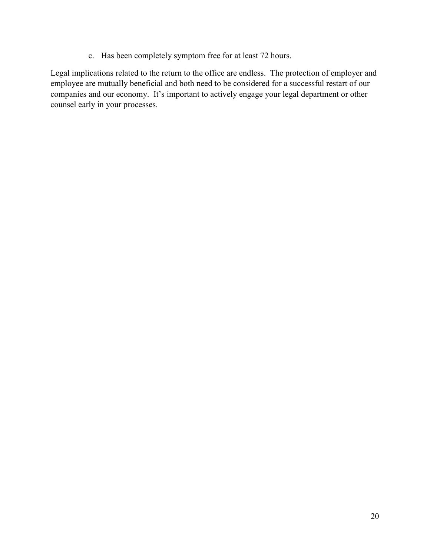c. Has been completely symptom free for at least 72 hours.

Legal implications related to the return to the office are endless. The protection of employer and employee are mutually beneficial and both need to be considered for a successful restart of our companies and our economy. It's important to actively engage your legal department or other counsel early in your processes.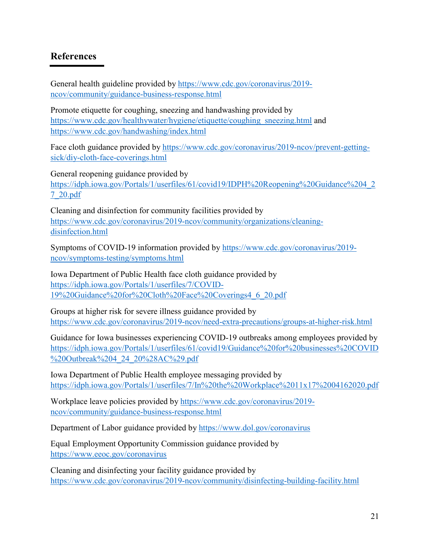# **References**

General health guideline provided by [https://www.cdc.gov/coronavirus/2019](https://www.cdc.gov/coronavirus/2019-ncov/community/guidance-business-response.html) [ncov/community/guidance-business-response.html](https://www.cdc.gov/coronavirus/2019-ncov/community/guidance-business-response.html)

Promote etiquette for coughing, sneezing and handwashing provided by [https://www.cdc.gov/healthywater/hygiene/etiquette/coughing\\_sneezing.html](https://www.cdc.gov/healthywater/hygiene/etiquette/coughing_sneezing.html) and <https://www.cdc.gov/handwashing/index.html>

Face cloth guidance provided by [https://www.cdc.gov/coronavirus/2019-ncov/prevent-getting](https://www.cdc.gov/coronavirus/2019-ncov/prevent-getting-sick/diy-cloth-face-coverings.html)[sick/diy-cloth-face-coverings.html](https://www.cdc.gov/coronavirus/2019-ncov/prevent-getting-sick/diy-cloth-face-coverings.html)

General reopening guidance provided by [https://idph.iowa.gov/Portals/1/userfiles/61/covid19/IDPH%20Reopening%20Guidance%204\\_2](https://idph.iowa.gov/Portals/1/userfiles/61/covid19/IDPH%20Reopening%20Guidance%204_27_20.pdf) [7\\_20.pdf](https://idph.iowa.gov/Portals/1/userfiles/61/covid19/IDPH%20Reopening%20Guidance%204_27_20.pdf)

Cleaning and disinfection for community facilities provided by [https://www.cdc.gov/coronavirus/2019-ncov/community/organizations/cleaning](https://www.cdc.gov/coronavirus/2019-ncov/community/organizations/cleaning-disinfection.html)[disinfection.html](https://www.cdc.gov/coronavirus/2019-ncov/community/organizations/cleaning-disinfection.html)

Symptoms of COVID-19 information provided by [https://www.cdc.gov/coronavirus/2019](https://www.cdc.gov/coronavirus/2019-ncov/symptoms-testing/symptoms.html) [ncov/symptoms-testing/symptoms.html](https://www.cdc.gov/coronavirus/2019-ncov/symptoms-testing/symptoms.html)

Iowa Department of Public Health face cloth guidance provided by [https://idph.iowa.gov/Portals/1/userfiles/7/COVID-](https://idph.iowa.gov/Portals/1/userfiles/7/COVID-19%20Guidance%20for%20Cloth%20Face%20Coverings4_6_20.pdf)[19%20Guidance%20for%20Cloth%20Face%20Coverings4\\_6\\_20.pdf](https://idph.iowa.gov/Portals/1/userfiles/7/COVID-19%20Guidance%20for%20Cloth%20Face%20Coverings4_6_20.pdf)

Groups at higher risk for severe illness guidance provided by <https://www.cdc.gov/coronavirus/2019-ncov/need-extra-precautions/groups-at-higher-risk.html>

Guidance for Iowa businesses experiencing COVID-19 outbreaks among employees provided by [https://idph.iowa.gov/Portals/1/userfiles/61/covid19/Guidance%20for%20businesses%20COVID](https://idph.iowa.gov/Portals/1/userfiles/61/covid19/Guidance%20for%20businesses%20COVID%20Outbreak%204_24_20%28AC%29.pdf) [%20Outbreak%204\\_24\\_20%28AC%29.pdf](https://idph.iowa.gov/Portals/1/userfiles/61/covid19/Guidance%20for%20businesses%20COVID%20Outbreak%204_24_20%28AC%29.pdf)

Iowa Department of Public Health employee messaging provided by <https://idph.iowa.gov/Portals/1/userfiles/7/In%20the%20Workplace%2011x17%2004162020.pdf>

Workplace leave policies provided by [https://www.cdc.gov/coronavirus/2019](https://www.cdc.gov/coronavirus/2019-ncov/community/guidance-business-response.html) [ncov/community/guidance-business-response.html](https://www.cdc.gov/coronavirus/2019-ncov/community/guidance-business-response.html)

Department of Labor guidance provided by<https://www.dol.gov/coronavirus>

Equal Employment Opportunity Commission guidance provided by <https://www.eeoc.gov/coronavirus>

Cleaning and disinfecting your facility guidance provided by <https://www.cdc.gov/coronavirus/2019-ncov/community/disinfecting-building-facility.html>